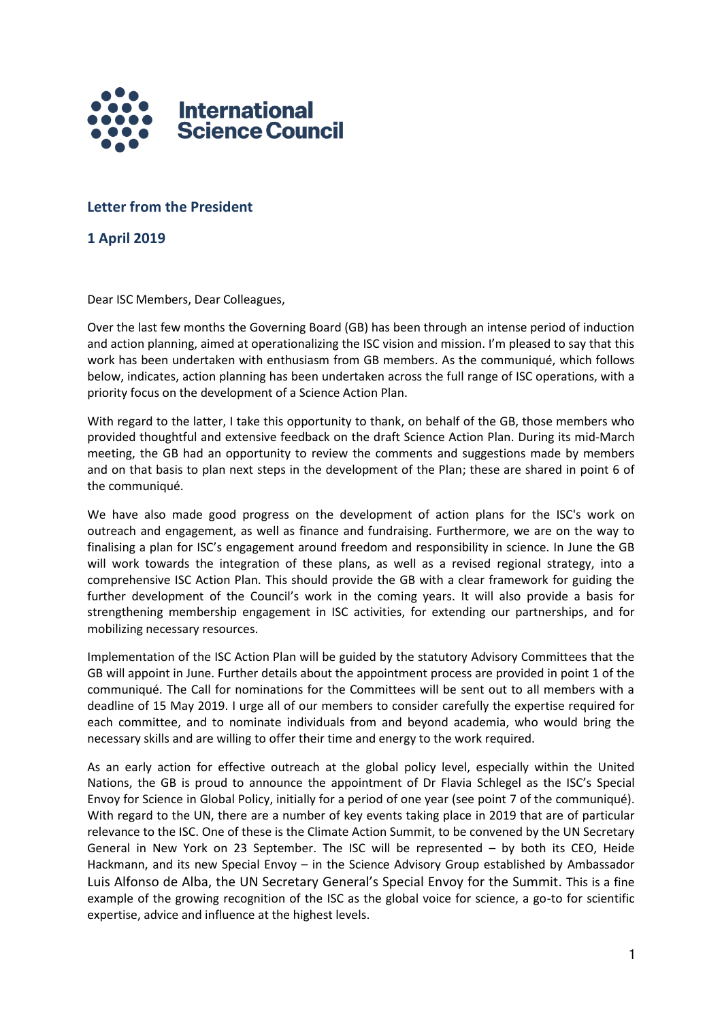

# **Letter from the President**

**1 April 2019**

Dear ISC Members, Dear Colleagues,

Over the last few months the Governing Board (GB) has been through an intense period of induction and action planning, aimed at operationalizing the ISC vision and mission. I'm pleased to say that this work has been undertaken with enthusiasm from GB members. As the communiqué, which follows below, indicates, action planning has been undertaken across the full range of ISC operations, with a priority focus on the development of a Science Action Plan.

With regard to the latter, I take this opportunity to thank, on behalf of the GB, those members who provided thoughtful and extensive feedback on the draft Science Action Plan. During its mid-March meeting, the GB had an opportunity to review the comments and suggestions made by members and on that basis to plan next steps in the development of the Plan; these are shared in point 6 of the communiqué.

We have also made good progress on the development of action plans for the ISC's work on outreach and engagement, as well as finance and fundraising. Furthermore, we are on the way to finalising a plan for ISC's engagement around freedom and responsibility in science. In June the GB will work towards the integration of these plans, as well as a revised regional strategy, into a comprehensive ISC Action Plan. This should provide the GB with a clear framework for guiding the further development of the Council's work in the coming years. It will also provide a basis for strengthening membership engagement in ISC activities, for extending our partnerships, and for mobilizing necessary resources.

Implementation of the ISC Action Plan will be guided by the statutory Advisory Committees that the GB will appoint in June. Further details about the appointment process are provided in point 1 of the communiqué. The Call for nominations for the Committees will be sent out to all members with a deadline of 15 May 2019. I urge all of our members to consider carefully the expertise required for each committee, and to nominate individuals from and beyond academia, who would bring the necessary skills and are willing to offer their time and energy to the work required.

As an early action for effective outreach at the global policy level, especially within the United Nations, the GB is proud to announce the appointment of Dr Flavia Schlegel as the ISC's Special Envoy for Science in Global Policy, initially for a period of one year (see point 7 of the communiqué). With regard to the UN, there are a number of key events taking place in 2019 that are of particular relevance to the ISC. One of these is the Climate Action Summit, to be convened by the UN Secretary General in New York on 23 September. The ISC will be represented – by both its CEO, Heide Hackmann, and its new Special Envoy – in the Science Advisory Group established by Ambassador Luis Alfonso de Alba, the UN Secretary General's Special Envoy for the Summit. This is a fine example of the growing recognition of the ISC as the global voice for science, a go-to for scientific expertise, advice and influence at the highest levels.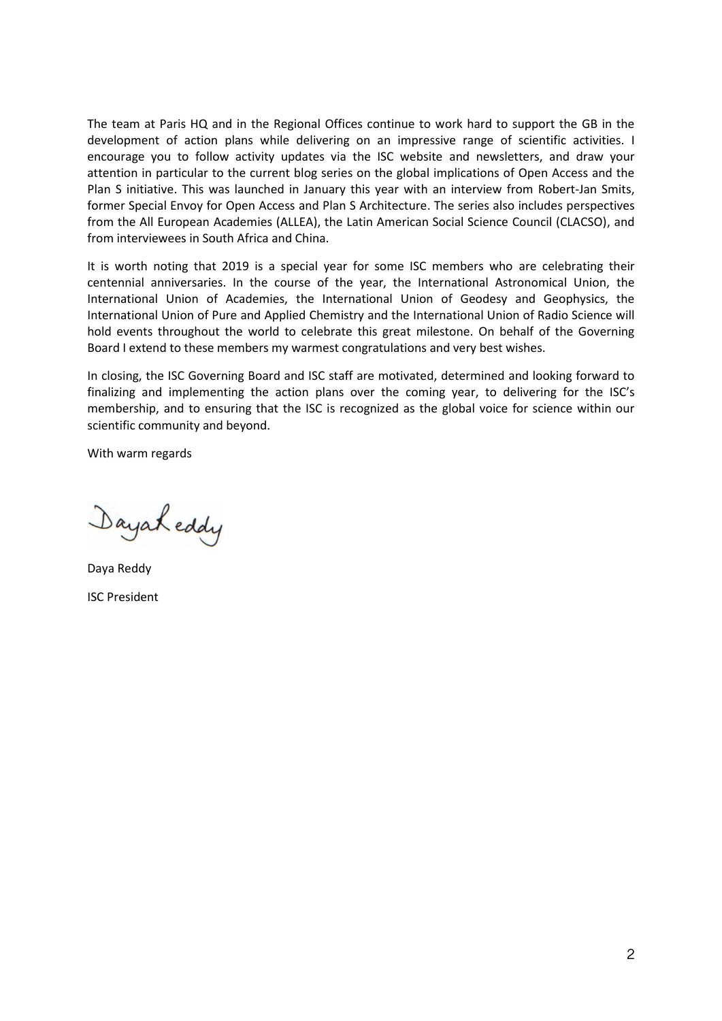The team at Paris HQ and in the Regional Offices continue to work hard to support the GB in the development of action plans while delivering on an impressive range of scientific activities. I encourage you to follow activity updates via the ISC website and newsletters, and draw your attention in particular to the current blog series on the global implications of Open Access and the Plan S initiative. This was launched in January this year with an interview from Robert-Jan Smits, former Special Envoy for Open Access and Plan S Architecture. The series also includes perspectives from the All European Academies (ALLEA), the Latin American Social Science Council (CLACSO), and from interviewees in South Africa and China.

It is worth noting that 2019 is a special year for some ISC members who are celebrating their centennial anniversaries. In the course of the year, the International Astronomical Union, the International Union of Academies, the International Union of Geodesy and Geophysics, the International Union of Pure and Applied Chemistry and the International Union of Radio Science will hold events throughout the world to celebrate this great milestone. On behalf of the Governing Board I extend to these members my warmest congratulations and very best wishes.

In closing, the ISC Governing Board and ISC staff are motivated, determined and looking forward to finalizing and implementing the action plans over the coming year, to delivering for the ISC's membership, and to ensuring that the ISC is recognized as the global voice for science within our scientific community and beyond.

With warm regards

Sayah eddy

Daya Reddy ISC President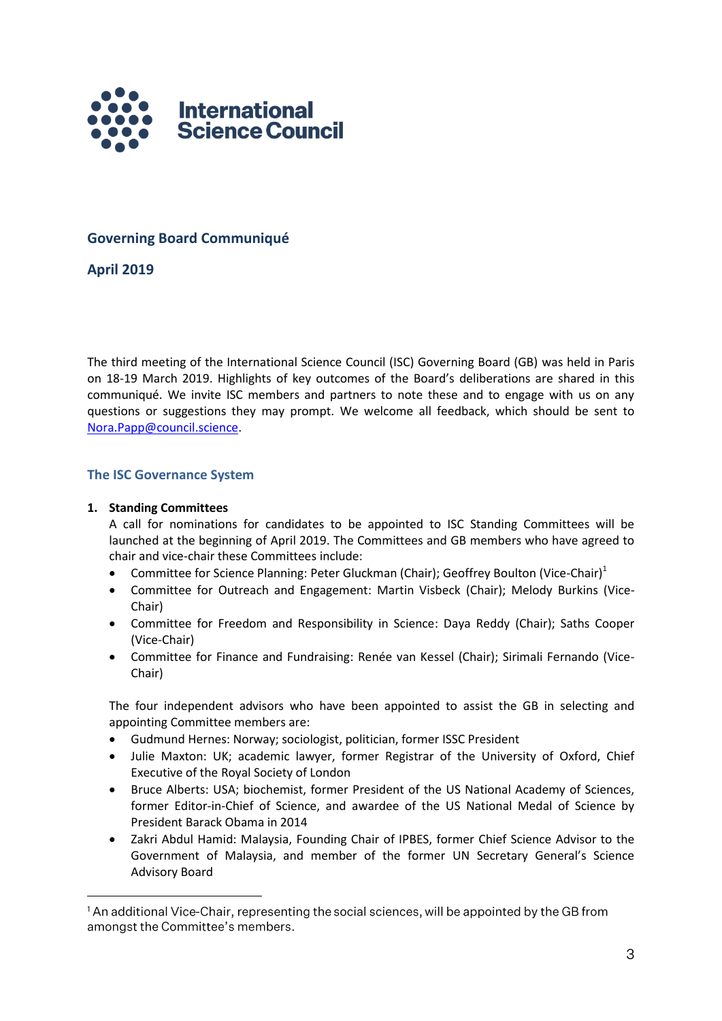

# **Governing Board Communiqué**

**April 2019**

The third meeting of the International Science Council (ISC) Governing Board (GB) was held in Paris on 18-19 March 2019. Highlights of key outcomes of the Board's deliberations are shared in this communiqué. We invite ISC members and partners to note these and to engage with us on any questions or suggestions they may prompt. We welcome all feedback, which should be sent to [Nora.Papp@council.science.](mailto:Nora.Papp@council.science)

# **The ISC Governance System**

# **1. Standing Committees**

A call for nominations for candidates to be appointed to ISC Standing Committees will be launched at the beginning of April 2019. The Committees and GB members who have agreed to chair and vice-chair these Committees include:

- **Committee for Science Planning: Peter Gluckman (Chair); Geoffrey Boulton (Vice-Chair)**<sup>1</sup>
- Committee for Outreach and Engagement: Martin Visbeck (Chair); Melody Burkins (Vice-Chair)
- Committee for Freedom and Responsibility in Science: Daya Reddy (Chair); Saths Cooper (Vice-Chair)
- Committee for Finance and Fundraising: Renée van Kessel (Chair); Sirimali Fernando (Vice-Chair)

The four independent advisors who have been appointed to assist the GB in selecting and appointing Committee members are:

- Gudmund Hernes: Norway; sociologist, politician, former ISSC President
- Julie Maxton: UK; academic lawyer, former Registrar of the University of Oxford, Chief Executive of the Royal Society of London
- Bruce Alberts: USA; biochemist, former President of the US National Academy of Sciences, former Editor-in-Chief of Science, and awardee of the US National Medal of Science by President Barack Obama in 2014
- Zakri Abdul Hamid: Malaysia, Founding Chair of IPBES, former Chief Science Advisor to the Government of Malaysia, and member of the former UN Secretary General's Science Advisory Board

<sup>&</sup>lt;sup>1</sup>An additional Vice-Chair, representing the social sciences, will be appointed by the GB from amongst the Committee's members.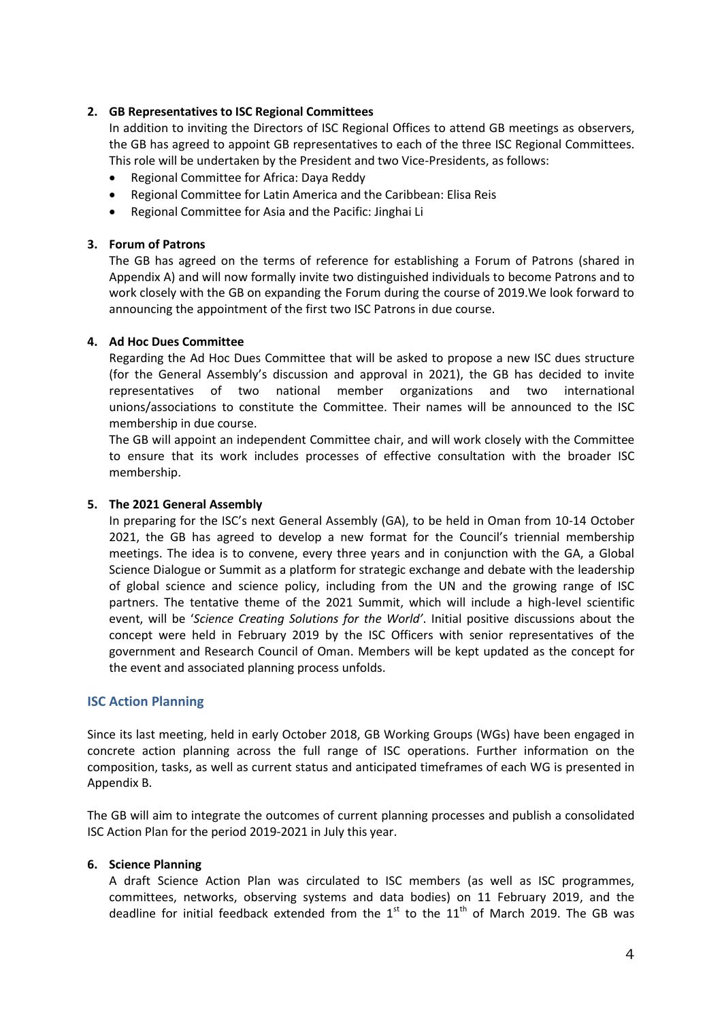# **2. GB Representatives to ISC Regional Committees**

In addition to inviting the Directors of ISC Regional Offices to attend GB meetings as observers, the GB has agreed to appoint GB representatives to each of the three ISC Regional Committees. This role will be undertaken by the President and two Vice-Presidents, as follows:

- Regional Committee for Africa: Daya Reddy
- Regional Committee for Latin America and the Caribbean: Elisa Reis
- Regional Committee for Asia and the Pacific: Jinghai Li

# **3. Forum of Patrons**

The GB has agreed on the terms of reference for establishing a Forum of Patrons (shared in Appendix A) and will now formally invite two distinguished individuals to become Patrons and to work closely with the GB on expanding the Forum during the course of 2019.We look forward to announcing the appointment of the first two ISC Patrons in due course.

# **4. Ad Hoc Dues Committee**

Regarding the Ad Hoc Dues Committee that will be asked to propose a new ISC dues structure (for the General Assembly's discussion and approval in 2021), the GB has decided to invite representatives of two national member organizations and two international unions/associations to constitute the Committee. Their names will be announced to the ISC membership in due course.

The GB will appoint an independent Committee chair, and will work closely with the Committee to ensure that its work includes processes of effective consultation with the broader ISC membership.

### **5. The 2021 General Assembly**

In preparing for the ISC's next General Assembly (GA), to be held in Oman from 10-14 October 2021, the GB has agreed to develop a new format for the Council's triennial membership meetings. The idea is to convene, every three years and in conjunction with the GA, a Global Science Dialogue or Summit as a platform for strategic exchange and debate with the leadership of global science and science policy, including from the UN and the growing range of ISC partners. The tentative theme of the 2021 Summit, which will include a high-level scientific event, will be '*Science Creating Solutions for the World'*. Initial positive discussions about the concept were held in February 2019 by the ISC Officers with senior representatives of the government and Research Council of Oman. Members will be kept updated as the concept for the event and associated planning process unfolds.

# **ISC Action Planning**

Since its last meeting, held in early October 2018, GB Working Groups (WGs) have been engaged in concrete action planning across the full range of ISC operations. Further information on the composition, tasks, as well as current status and anticipated timeframes of each WG is presented in Appendix B.

The GB will aim to integrate the outcomes of current planning processes and publish a consolidated ISC Action Plan for the period 2019-2021 in July this year.

# **6. Science Planning**

A draft Science Action Plan was circulated to ISC members (as well as ISC programmes, committees, networks, observing systems and data bodies) on 11 February 2019, and the deadline for initial feedback extended from the  $1<sup>st</sup>$  to the  $11<sup>th</sup>$  of March 2019. The GB was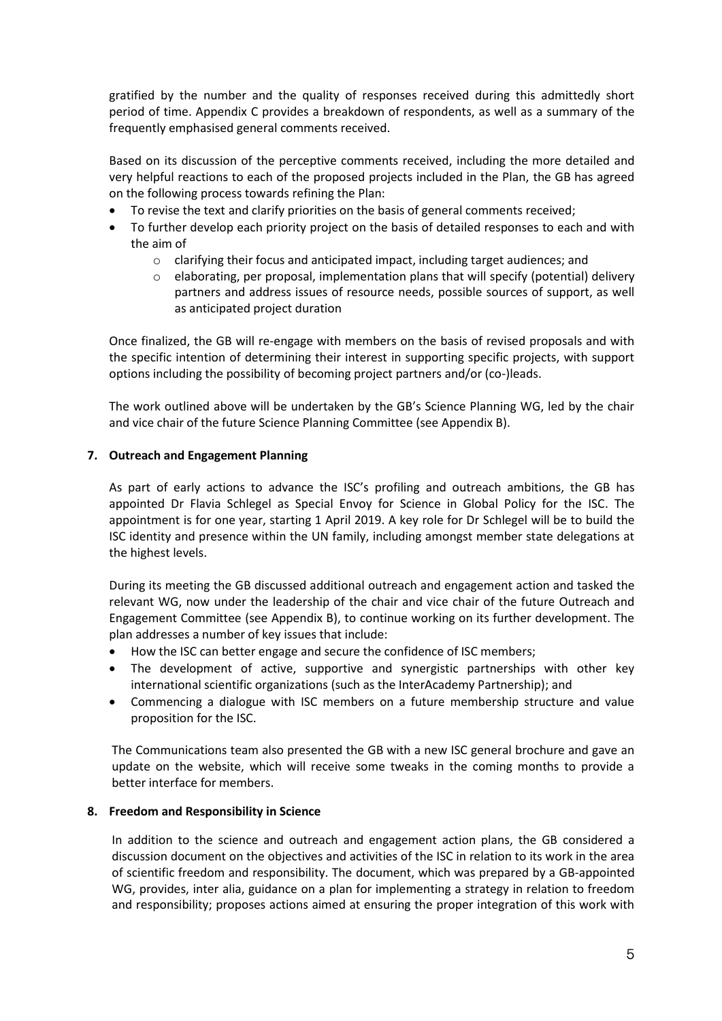gratified by the number and the quality of responses received during this admittedly short period of time. Appendix C provides a breakdown of respondents, as well as a summary of the frequently emphasised general comments received.

Based on its discussion of the perceptive comments received, including the more detailed and very helpful reactions to each of the proposed projects included in the Plan, the GB has agreed on the following process towards refining the Plan:

- To revise the text and clarify priorities on the basis of general comments received;
- To further develop each priority project on the basis of detailed responses to each and with the aim of
	- o clarifying their focus and anticipated impact, including target audiences; and
	- o elaborating, per proposal, implementation plans that will specify (potential) delivery partners and address issues of resource needs, possible sources of support, as well as anticipated project duration

Once finalized, the GB will re-engage with members on the basis of revised proposals and with the specific intention of determining their interest in supporting specific projects, with support options including the possibility of becoming project partners and/or (co-)leads.

The work outlined above will be undertaken by the GB's Science Planning WG, led by the chair and vice chair of the future Science Planning Committee (see Appendix B).

# **7. Outreach and Engagement Planning**

As part of early actions to advance the ISC's profiling and outreach ambitions, the GB has appointed Dr Flavia Schlegel as Special Envoy for Science in Global Policy for the ISC. The appointment is for one year, starting 1 April 2019. A key role for Dr Schlegel will be to build the ISC identity and presence within the UN family, including amongst member state delegations at the highest levels.

During its meeting the GB discussed additional outreach and engagement action and tasked the relevant WG, now under the leadership of the chair and vice chair of the future Outreach and Engagement Committee (see Appendix B), to continue working on its further development. The plan addresses a number of key issues that include:

- How the ISC can better engage and secure the confidence of ISC members;
- The development of active, supportive and synergistic partnerships with other key international scientific organizations (such as the InterAcademy Partnership); and
- Commencing a dialogue with ISC members on a future membership structure and value proposition for the ISC.

The Communications team also presented the GB with a new ISC general brochure and gave an update on the website, which will receive some tweaks in the coming months to provide a better interface for members.

# **8. Freedom and Responsibility in Science**

In addition to the science and outreach and engagement action plans, the GB considered a discussion document on the objectives and activities of the ISC in relation to its work in the area of scientific freedom and responsibility. The document, which was prepared by a GB-appointed WG, provides, inter alia, guidance on a plan for implementing a strategy in relation to freedom and responsibility; proposes actions aimed at ensuring the proper integration of this work with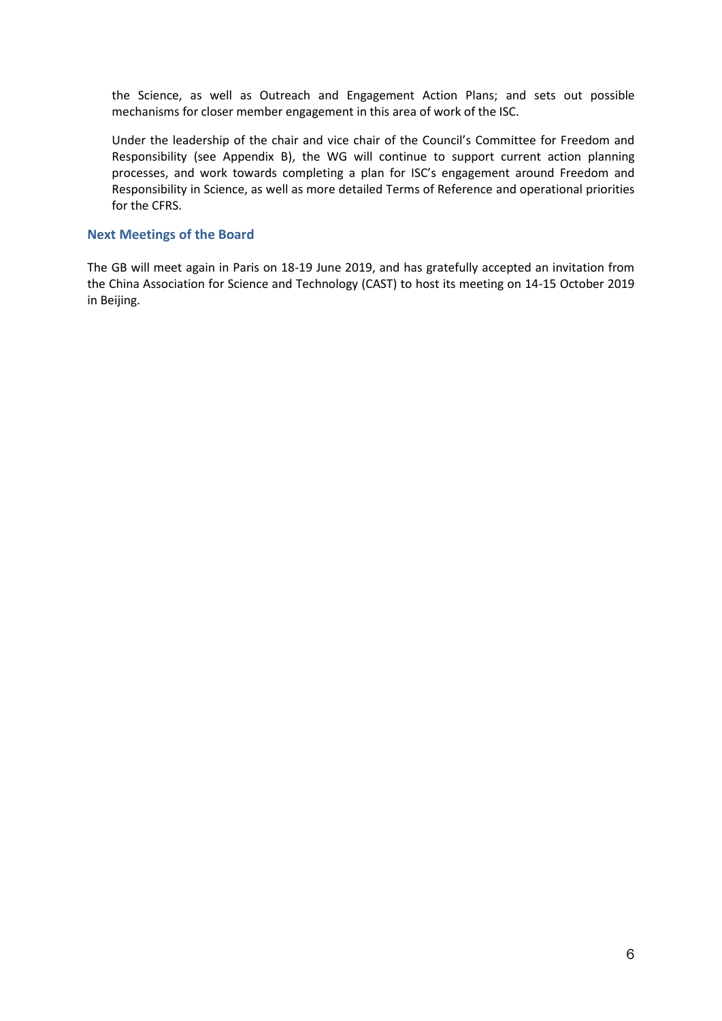the Science, as well as Outreach and Engagement Action Plans; and sets out possible mechanisms for closer member engagement in this area of work of the ISC.

Under the leadership of the chair and vice chair of the Council's Committee for Freedom and Responsibility (see Appendix B), the WG will continue to support current action planning processes, and work towards completing a plan for ISC's engagement around Freedom and Responsibility in Science, as well as more detailed Terms of Reference and operational priorities for the CFRS.

# **Next Meetings of the Board**

The GB will meet again in Paris on 18-19 June 2019, and has gratefully accepted an invitation from the China Association for Science and Technology (CAST) to host its meeting on 14-15 October 2019 in Beijing.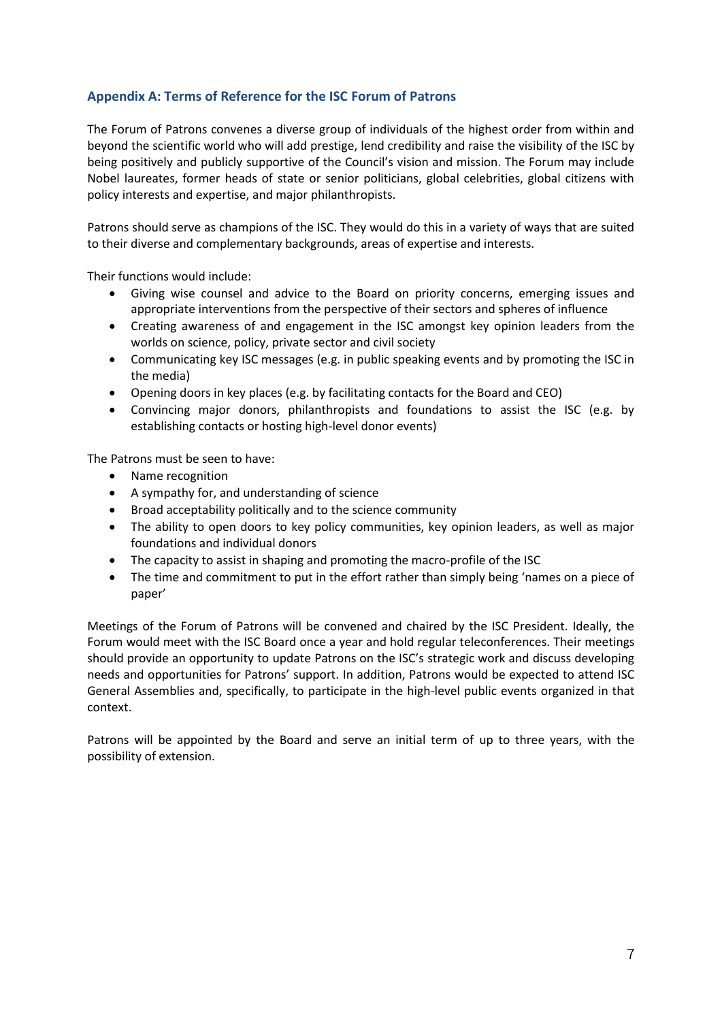# **Appendix A: Terms of Reference for the ISC Forum of Patrons**

The Forum of Patrons convenes a diverse group of individuals of the highest order from within and beyond the scientific world who will add prestige, lend credibility and raise the visibility of the ISC by being positively and publicly supportive of the Council's vision and mission. The Forum may include Nobel laureates, former heads of state or senior politicians, global celebrities, global citizens with policy interests and expertise, and major philanthropists.

Patrons should serve as champions of the ISC. They would do this in a variety of ways that are suited to their diverse and complementary backgrounds, areas of expertise and interests.

Their functions would include:

- Giving wise counsel and advice to the Board on priority concerns, emerging issues and appropriate interventions from the perspective of their sectors and spheres of influence
- Creating awareness of and engagement in the ISC amongst key opinion leaders from the worlds on science, policy, private sector and civil society
- Communicating key ISC messages (e.g. in public speaking events and by promoting the ISC in the media)
- Opening doors in key places (e.g. by facilitating contacts for the Board and CEO)
- Convincing major donors, philanthropists and foundations to assist the ISC (e.g. by establishing contacts or hosting high-level donor events)

The Patrons must be seen to have:

- Name recognition
- A sympathy for, and understanding of science
- Broad acceptability politically and to the science community
- The ability to open doors to key policy communities, key opinion leaders, as well as major foundations and individual donors
- The capacity to assist in shaping and promoting the macro-profile of the ISC
- The time and commitment to put in the effort rather than simply being 'names on a piece of paper'

Meetings of the Forum of Patrons will be convened and chaired by the ISC President. Ideally, the Forum would meet with the ISC Board once a year and hold regular teleconferences. Their meetings should provide an opportunity to update Patrons on the ISC's strategic work and discuss developing needs and opportunities for Patrons' support. In addition, Patrons would be expected to attend ISC General Assemblies and, specifically, to participate in the high-level public events organized in that context.

Patrons will be appointed by the Board and serve an initial term of up to three years, with the possibility of extension.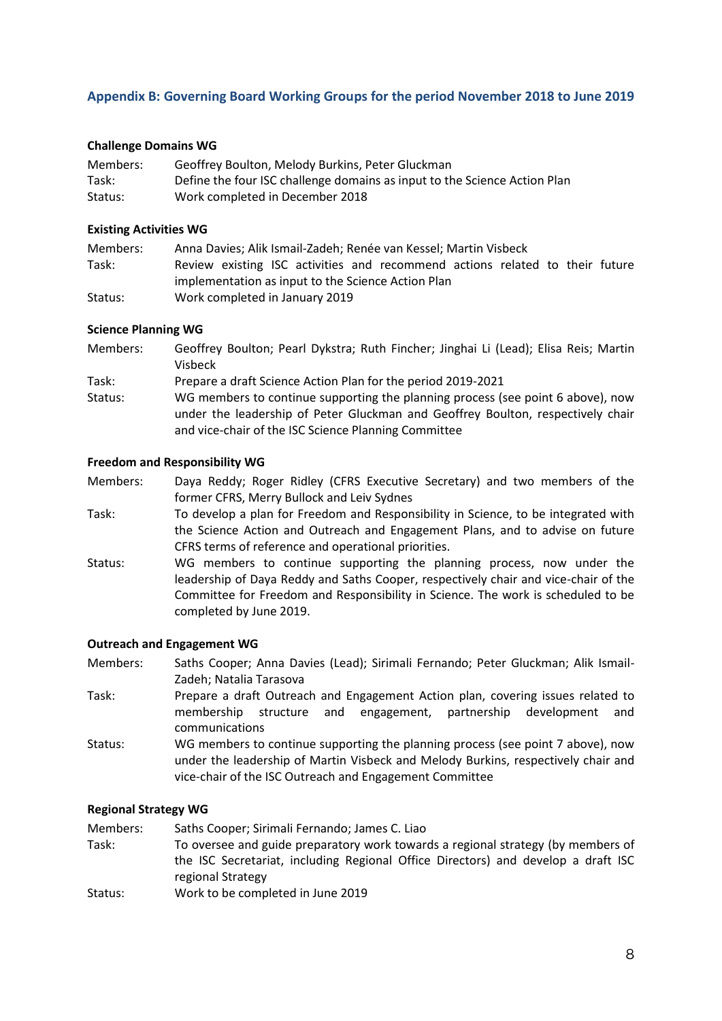# **Appendix B: Governing Board Working Groups for the period November 2018 to June 2019**

# **Challenge Domains WG**

| Members: | Geoffrey Boulton, Melody Burkins, Peter Gluckman                          |
|----------|---------------------------------------------------------------------------|
| Task:    | Define the four ISC challenge domains as input to the Science Action Plan |
| Status:  | Work completed in December 2018                                           |

#### **Existing Activities WG**

| Members: | Anna Davies; Alik Ismail-Zadeh; Renée van Kessel; Martin Visbeck             |
|----------|------------------------------------------------------------------------------|
| Task:    | Review existing ISC activities and recommend actions related to their future |
|          | implementation as input to the Science Action Plan                           |
| Status:  | Work completed in January 2019                                               |

### **Science Planning WG**

- Members: Geoffrey Boulton; Pearl Dykstra; Ruth Fincher; Jinghai Li (Lead); Elisa Reis; Martin Visbeck
- Task: Prepare a draft Science Action Plan for the period 2019-2021
- Status: WG members to continue supporting the planning process (see point 6 above), now under the leadership of Peter Gluckman and Geoffrey Boulton, respectively chair and vice-chair of the ISC Science Planning Committee

#### **Freedom and Responsibility WG**

Members: Daya Reddy; Roger Ridley (CFRS Executive Secretary) and two members of the former CFRS, Merry Bullock and Leiv Sydnes

- Task: To develop a plan for Freedom and Responsibility in Science, to be integrated with the Science Action and Outreach and Engagement Plans, and to advise on future CFRS terms of reference and operational priorities.
- Status: WG members to continue supporting the planning process, now under the leadership of Daya Reddy and Saths Cooper, respectively chair and vice-chair of the Committee for Freedom and Responsibility in Science. The work is scheduled to be completed by June 2019.

#### **Outreach and Engagement WG**

Members: Saths Cooper; Anna Davies (Lead); Sirimali Fernando; Peter Gluckman; Alik Ismail-Zadeh; Natalia Tarasova

- Task: Prepare a draft Outreach and Engagement Action plan, covering issues related to membership structure and engagement, partnership development and communications
- Status: WG members to continue supporting the planning process (see point 7 above), now under the leadership of Martin Visbeck and Melody Burkins, respectively chair and vice-chair of the ISC Outreach and Engagement Committee

#### **Regional Strategy WG**

Members: Saths Cooper; Sirimali Fernando; James C. Liao

- Task: To oversee and guide preparatory work towards a regional strategy (by members of the ISC Secretariat, including Regional Office Directors) and develop a draft ISC regional Strategy
- Status: Work to be completed in June 2019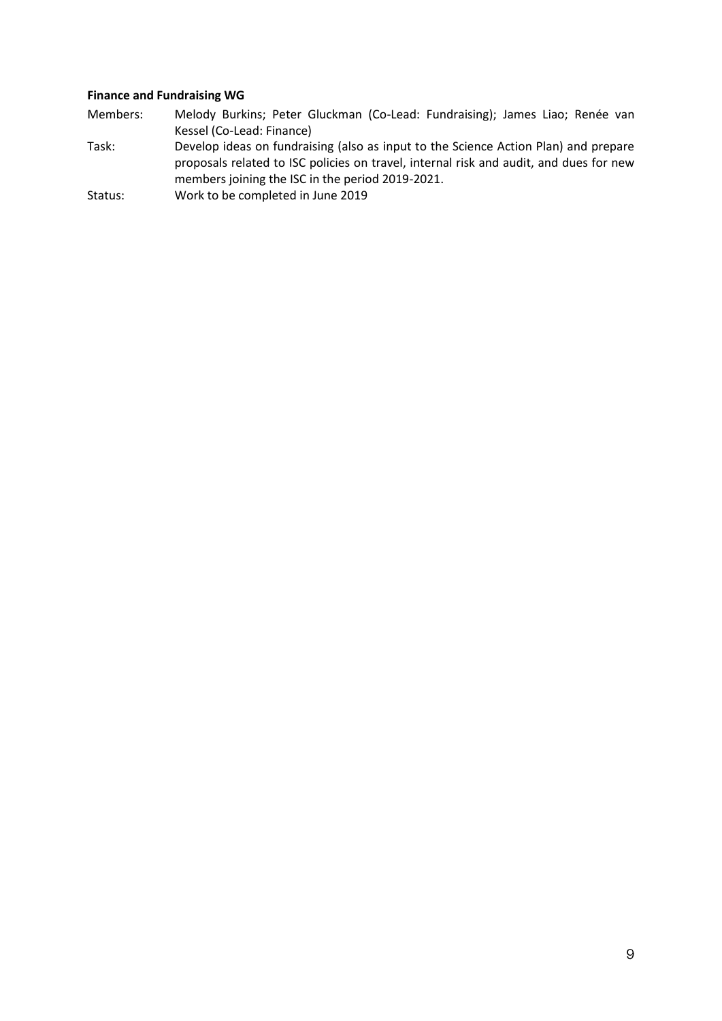# **Finance and Fundraising WG**

- Members: Melody Burkins; Peter Gluckman (Co-Lead: Fundraising); James Liao; Renée van Kessel (Co-Lead: Finance)
- Task: Develop ideas on fundraising (also as input to the Science Action Plan) and prepare proposals related to ISC policies on travel, internal risk and audit, and dues for new members joining the ISC in the period 2019-2021.
- Status: Work to be completed in June 2019